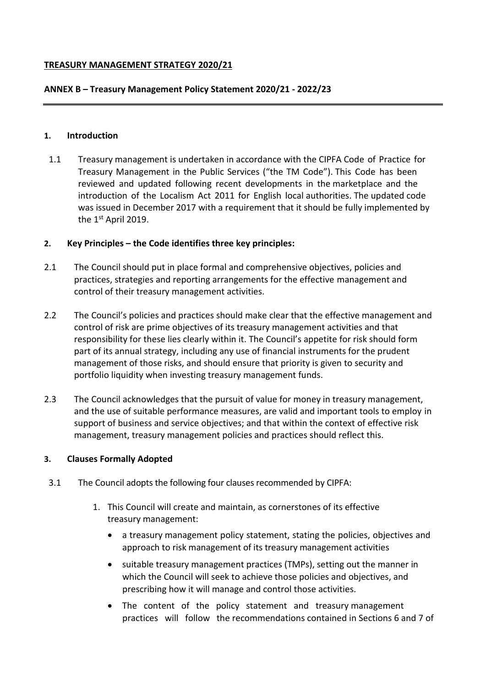# **TREASURY MANAGEMENT STRATEGY 2020/21**

### **ANNEX B – Treasury Management Policy Statement 2020/21 - 2022/23**

#### **1. Introduction**

1.1 Treasury management is undertaken in accordance with the CIPFA Code of Practice for Treasury Management in the Public Services ("the TM Code"). This Code has been reviewed and updated following recent developments in the marketplace and the introduction of the Localism Act 2011 for English local authorities. The updated code was issued in December 2017 with a requirement that it should be fully implemented by the 1<sup>st</sup> April 2019.

### **2. Key Principles – the Code identifies three key principles:**

- 2.1 The Council should put in place formal and comprehensive objectives, policies and practices, strategies and reporting arrangements for the effective management and control of their treasury management activities.
- 2.2 The Council's policies and practices should make clear that the effective management and control of risk are prime objectives of its treasury management activities and that responsibility for these lies clearly within it. The Council's appetite for risk should form part of its annual strategy, including any use of financial instruments for the prudent management of those risks, and should ensure that priority is given to security and portfolio liquidity when investing treasury management funds.
- 2.3 The Council acknowledges that the pursuit of value for money in treasury management, and the use of suitable performance measures, are valid and important tools to employ in support of business and service objectives; and that within the context of effective risk management, treasury management policies and practices should reflect this.

### **3. Clauses Formally Adopted**

- 3.1 The Council adopts the following four clauses recommended by CIPFA:
	- 1. This Council will create and maintain, as cornerstones of its effective treasury management:
		- a treasury management policy statement, stating the policies, objectives and approach to risk management of its treasury management activities
		- suitable treasury management practices (TMPs), setting out the manner in which the Council will seek to achieve those policies and objectives, and prescribing how it will manage and control those activities.
		- The content of the policy statement and treasury management practices will follow the recommendations contained in Sections 6 and 7 of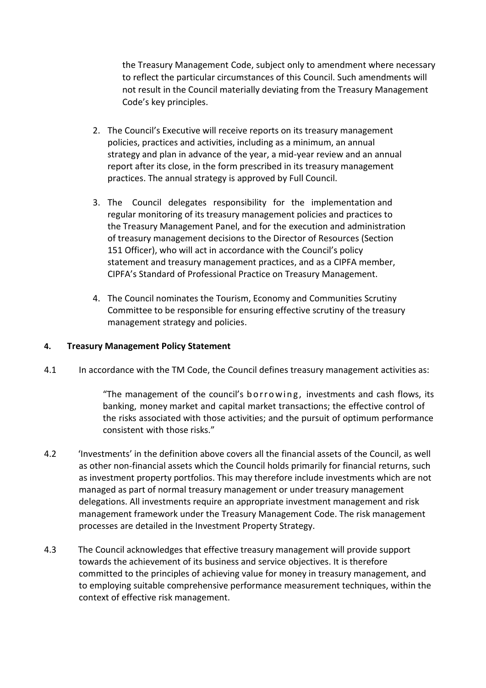the Treasury Management Code, subject only to amendment where necessary to reflect the particular circumstances of this Council. Such amendments will not result in the Council materially deviating from the Treasury Management Code's key principles.

- 2. The Council's Executive will receive reports on its treasury management policies, practices and activities, including as a minimum, an annual strategy and plan in advance of the year, a mid-year review and an annual report after its close, in the form prescribed in its treasury management practices. The annual strategy is approved by Full Council.
- 3. The Council delegates responsibility for the implementation and regular monitoring of its treasury management policies and practices to the Treasury Management Panel, and for the execution and administration of treasury management decisions to the Director of Resources (Section 151 Officer), who will act in accordance with the Council's policy statement and treasury management practices, and as a CIPFA member, CIPFA's Standard of Professional Practice on Treasury Management.
- 4. The Council nominates the Tourism, Economy and Communities Scrutiny Committee to be responsible for ensuring effective scrutiny of the treasury management strategy and policies.

# **4. Treasury Management Policy Statement**

4.1 In accordance with the TM Code, the Council defines treasury management activities as:

"The management of the council's borrowing, investments and cash flows, its banking, money market and capital market transactions; the effective control of the risks associated with those activities; and the pursuit of optimum performance consistent with those risks."

- 4.2 'Investments' in the definition above covers all the financial assets of the Council, as well as other non-financial assets which the Council holds primarily for financial returns, such as investment property portfolios. This may therefore include investments which are not managed as part of normal treasury management or under treasury management delegations. All investments require an appropriate investment management and risk management framework under the Treasury Management Code. The risk management processes are detailed in the Investment Property Strategy.
- 4.3 The Council acknowledges that effective treasury management will provide support towards the achievement of its business and service objectives. It is therefore committed to the principles of achieving value for money in treasury management, and to employing suitable comprehensive performance measurement techniques, within the context of effective risk management.